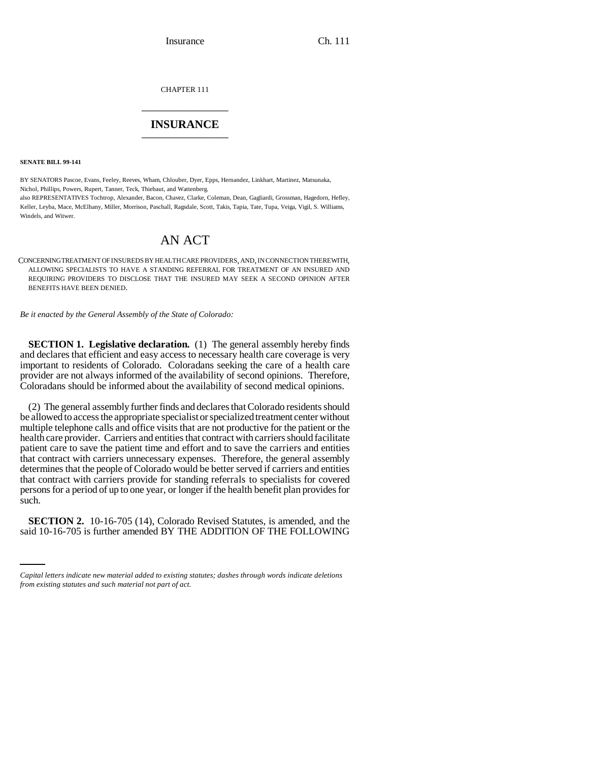Insurance Ch. 111

CHAPTER 111 \_\_\_\_\_\_\_\_\_\_\_\_\_\_\_

## **INSURANCE** \_\_\_\_\_\_\_\_\_\_\_\_\_\_\_

**SENATE BILL 99-141** 

BY SENATORS Pascoe, Evans, Feeley, Reeves, Wham, Chlouber, Dyer, Epps, Hernandez, Linkhart, Martinez, Matsunaka, Nichol, Phillips, Powers, Rupert, Tanner, Teck, Thiebaut, and Wattenberg.

also REPRESENTATIVES Tochtrop, Alexander, Bacon, Chavez, Clarke, Coleman, Dean, Gagliardi, Grossman, Hagedorn, Hefley, Keller, Leyba, Mace, McElhany, Miller, Morrison, Paschall, Ragsdale, Scott, Takis, Tapia, Tate, Tupa, Veiga, Vigil, S. Williams, Windels, and Witwer.

## AN ACT

CONCERNING TREATMENT OF INSUREDS BY HEALTH CARE PROVIDERS, AND, IN CONNECTION THEREWITH, ALLOWING SPECIALISTS TO HAVE A STANDING REFERRAL FOR TREATMENT OF AN INSURED AND REQUIRING PROVIDERS TO DISCLOSE THAT THE INSURED MAY SEEK A SECOND OPINION AFTER BENEFITS HAVE BEEN DENIED.

*Be it enacted by the General Assembly of the State of Colorado:*

**SECTION 1. Legislative declaration.** (1) The general assembly hereby finds and declares that efficient and easy access to necessary health care coverage is very important to residents of Colorado. Coloradans seeking the care of a health care provider are not always informed of the availability of second opinions. Therefore, Coloradans should be informed about the availability of second medical opinions.

(2) The general assembly further finds and declares that Colorado residents should be allowed to access the appropriate specialist or specialized treatment center without multiple telephone calls and office visits that are not productive for the patient or the health care provider. Carriers and entities that contract with carriers should facilitate patient care to save the patient time and effort and to save the carriers and entities that contract with carriers unnecessary expenses. Therefore, the general assembly determines that the people of Colorado would be better served if carriers and entities that contract with carriers provide for standing referrals to specialists for covered persons for a period of up to one year, or longer if the health benefit plan provides for such.

**SECTION 2.** 10-16-705 (14), Colorado Revised Statutes, is amended, and the said 10-16-705 is further amended BY THE ADDITION OF THE FOLLOWING

*Capital letters indicate new material added to existing statutes; dashes through words indicate deletions from existing statutes and such material not part of act.*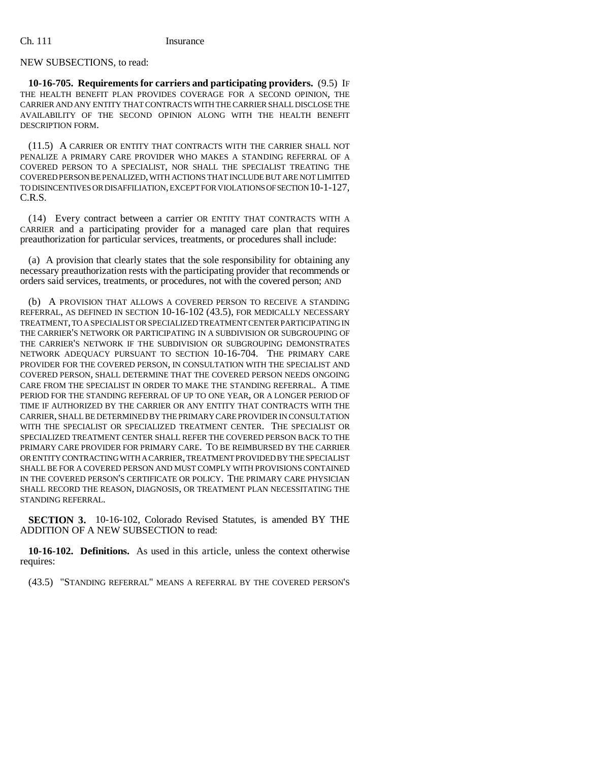## NEW SUBSECTIONS, to read:

**10-16-705. Requirements for carriers and participating providers.** (9.5) IF THE HEALTH BENEFIT PLAN PROVIDES COVERAGE FOR A SECOND OPINION, THE CARRIER AND ANY ENTITY THAT CONTRACTS WITH THE CARRIER SHALL DISCLOSE THE AVAILABILITY OF THE SECOND OPINION ALONG WITH THE HEALTH BENEFIT DESCRIPTION FORM.

(11.5) A CARRIER OR ENTITY THAT CONTRACTS WITH THE CARRIER SHALL NOT PENALIZE A PRIMARY CARE PROVIDER WHO MAKES A STANDING REFERRAL OF A COVERED PERSON TO A SPECIALIST, NOR SHALL THE SPECIALIST TREATING THE COVERED PERSON BE PENALIZED, WITH ACTIONS THAT INCLUDE BUT ARE NOT LIMITED TO DISINCENTIVES OR DISAFFILIATION, EXCEPT FOR VIOLATIONS OF SECTION 10-1-127, C.R.S.

(14) Every contract between a carrier OR ENTITY THAT CONTRACTS WITH A CARRIER and a participating provider for a managed care plan that requires preauthorization for particular services, treatments, or procedures shall include:

(a) A provision that clearly states that the sole responsibility for obtaining any necessary preauthorization rests with the participating provider that recommends or orders said services, treatments, or procedures, not with the covered person; AND

(b) A PROVISION THAT ALLOWS A COVERED PERSON TO RECEIVE A STANDING REFERRAL, AS DEFINED IN SECTION 10-16-102 (43.5), FOR MEDICALLY NECESSARY TREATMENT, TO A SPECIALIST OR SPECIALIZED TREATMENT CENTER PARTICIPATING IN THE CARRIER'S NETWORK OR PARTICIPATING IN A SUBDIVISION OR SUBGROUPING OF THE CARRIER'S NETWORK IF THE SUBDIVISION OR SUBGROUPING DEMONSTRATES NETWORK ADEQUACY PURSUANT TO SECTION 10-16-704. THE PRIMARY CARE PROVIDER FOR THE COVERED PERSON, IN CONSULTATION WITH THE SPECIALIST AND COVERED PERSON, SHALL DETERMINE THAT THE COVERED PERSON NEEDS ONGOING CARE FROM THE SPECIALIST IN ORDER TO MAKE THE STANDING REFERRAL. A TIME PERIOD FOR THE STANDING REFERRAL OF UP TO ONE YEAR, OR A LONGER PERIOD OF TIME IF AUTHORIZED BY THE CARRIER OR ANY ENTITY THAT CONTRACTS WITH THE CARRIER, SHALL BE DETERMINED BY THE PRIMARY CARE PROVIDER IN CONSULTATION WITH THE SPECIALIST OR SPECIALIZED TREATMENT CENTER. THE SPECIALIST OR SPECIALIZED TREATMENT CENTER SHALL REFER THE COVERED PERSON BACK TO THE PRIMARY CARE PROVIDER FOR PRIMARY CARE. TO BE REIMBURSED BY THE CARRIER OR ENTITY CONTRACTING WITH A CARRIER, TREATMENT PROVIDED BY THE SPECIALIST SHALL BE FOR A COVERED PERSON AND MUST COMPLY WITH PROVISIONS CONTAINED IN THE COVERED PERSON'S CERTIFICATE OR POLICY. THE PRIMARY CARE PHYSICIAN SHALL RECORD THE REASON, DIAGNOSIS, OR TREATMENT PLAN NECESSITATING THE STANDING REFERRAL.

**SECTION 3.** 10-16-102, Colorado Revised Statutes, is amended BY THE ADDITION OF A NEW SUBSECTION to read:

**10-16-102. Definitions.** As used in this article, unless the context otherwise requires:

(43.5) "STANDING REFERRAL" MEANS A REFERRAL BY THE COVERED PERSON'S